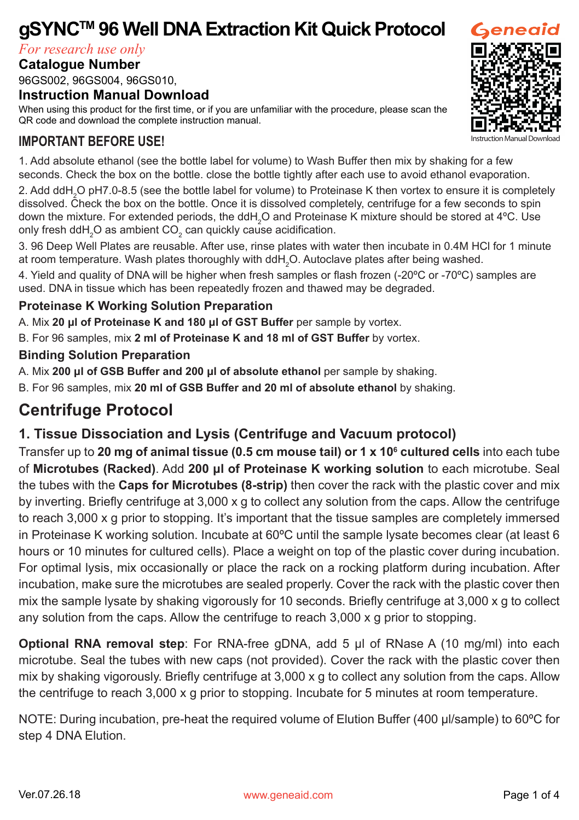# **gSYNCTM 96 Well DNA Extraction Kit Quick Protocol**

*For research use only*

### **Catalogue Number**

# 96GS002, 96GS004, 96GS010,

#### **Instruction Manual Download**

When using this product for the first time, or if you are unfamiliar with the procedure, please scan the QR code and download the complete instruction manual.

## **IMPORTANT BEFORE USE!**

1. Add absolute ethanol (see the bottle label for volume) to Wash Buffer then mix by shaking for a few seconds. Check the box on the bottle. close the bottle tightly after each use to avoid ethanol evaporation.

2. Add ddH<sub>2</sub>O pH7.0-8.5 (see the bottle label for volume) to Proteinase K then vortex to ensure it is completely dissolved. Check the box on the bottle. Once it is dissolved completely, centrifuge for a few seconds to spin down the mixture. For extended periods, the ddH $_2$ O and Proteinase K mixture should be stored at 4°C. Use only fresh ddH $_{\rm 2}$ O as ambient CO $_{\rm 2}$  can quickly cause acidification.

3. 96 Deep Well Plates are reusable. After use, rinse plates with water then incubate in 0.4M HCl for 1 minute at room temperature. Wash plates thoroughly with ddH $_{\rm 2}$ O. Autoclave plates after being washed.

4. Yield and quality of DNA will be higher when fresh samples or flash frozen (-20ºC or -70ºC) samples are used. DNA in tissue which has been repeatedly frozen and thawed may be degraded.

#### **Proteinase K Working Solution Preparation**

A. Mix **20 μl of Proteinase K and 180 μl of GST Buffer** per sample by vortex.

B. For 96 samples, mix **2 ml of Proteinase K and 18 ml of GST Buffer** by vortex.

#### **Binding Solution Preparation**

A. Mix **200 μl of GSB Buffer and 200 μl of absolute ethanol** per sample by shaking.

B. For 96 samples, mix **20 ml of GSB Buffer and 20 ml of absolute ethanol** by shaking.

# **Centrifuge Protocol**

## **1. Tissue Dissociation and Lysis (Centrifuge and Vacuum protocol)**

Transfer up to **20 mg of animal tissue (0.5 cm mouse tail) or 1 x 10<sup>6</sup> cultured cells** into each tube of **Microtubes (Racked)**. Add **200 μl of Proteinase K working solution** to each microtube. Seal the tubes with the **Caps for Microtubes (8-strip)** then cover the rack with the plastic cover and mix by inverting. Briefly centrifuge at 3,000 x g to collect any solution from the caps. Allow the centrifuge to reach 3,000 x g prior to stopping. It's important that the tissue samples are completely immersed in Proteinase K working solution. Incubate at  $60^{\circ}$ C until the sample lysate becomes clear (at least 6 hours or 10 minutes for cultured cells). Place a weight on top of the plastic cover during incubation. For optimal lysis, mix occasionally or place the rack on a rocking platform during incubation. After incubation, make sure the microtubes are sealed properly. Cover the rack with the plastic cover then mix the sample lysate by shaking vigorously for 10 seconds. Briefly centrifuge at 3,000 x g to collect any solution from the caps. Allow the centrifuge to reach 3,000 x g prior to stopping.

**Optional RNA removal step**: For RNA-free gDNA, add 5 μl of RNase A (10 mg/ml) into each microtube. Seal the tubes with new caps (not provided). Cover the rack with the plastic cover then mix by shaking vigorously. Briefly centrifuge at 3,000 x g to collect any solution from the caps. Allow the centrifuge to reach 3,000 x g prior to stopping. Incubate for 5 minutes at room temperature.

NOTE: During incubation, pre-heat the required volume of Elution Buffer (400 μl/sample) to 60ºC for step 4 DNA Elution.

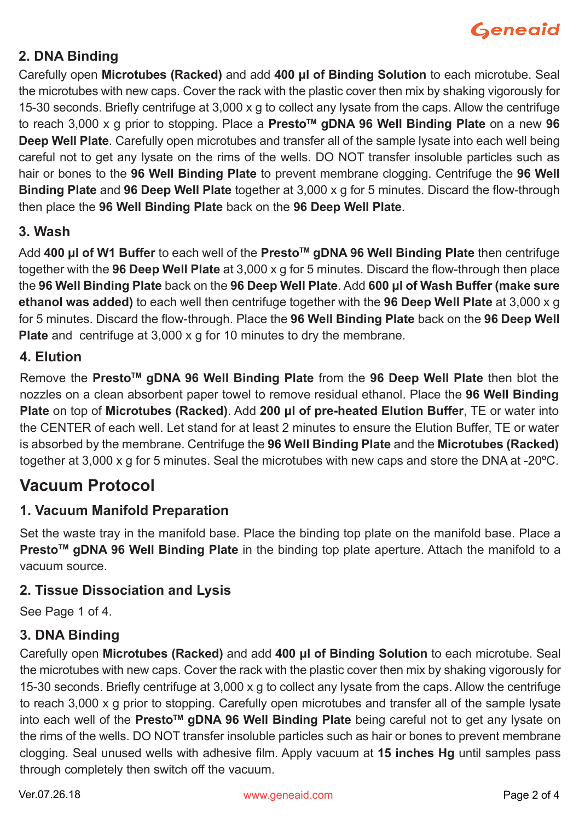

## **2. DNA Binding**

Carefully open **Microtubes (Racked)** and add **400 μl of Binding Solution** to each microtube. Seal the microtubes with new caps. Cover the rack with the plastic cover then mix by shaking vigorously for 15-30 seconds. Briefly centrifuge at 3,000 x g to collect any lysate from the caps. Allow the centrifuge to reach 3,000 x g prior to stopping. Place a **PrestoTM gDNA 96 Well Binding Plate** on a new **96 Deep Well Plate**. Carefully open microtubes and transfer all of the sample lysate into each well being careful not to get any lysate on the rims of the wells. DO NOT transfer insoluble particles such as hair or bones to the **96 Well Binding Plate** to prevent membrane clogging. Centrifuge the **96 Well Binding Plate** and **96 Deep Well Plate** together at 3,000 x g for 5 minutes. Discard the flow-through then place the **96 Well Binding Plate** back on the **96 Deep Well Plate**.

## **3. Wash**

Add **400 μl of W1 Buffer** to each well of the **PrestoTM gDNA 96 Well Binding Plate** then centrifuge together with the **96 Deep Well Plate** at 3,000 x g for 5 minutes. Discard the flow-through then place the **96 Well Binding Plate** back on the **96 Deep Well Plate**. Add **600 μl of Wash Buffer (make sure ethanol was added)** to each well then centrifuge together with the **96 Deep Well Plate** at 3,000 x g for 5 minutes. Discard the flow-through. Place the **96 Well Binding Plate** back on the **96 Deep Well Plate** and centrifuge at 3,000 x g for 10 minutes to dry the membrane.

### **4. Elution**

Remove the **PrestoTM gDNA 96 Well Binding Plate** from the **96 Deep Well Plate** then blot the nozzles on a clean absorbent paper towel to remove residual ethanol. Place the **96 Well Binding Plate** on top of **Microtubes (Racked)**. Add **200 μl of pre-heated Elution Buffer**, TE or water into the CENTER of each well. Let stand for at least 2 minutes to ensure the Elution Buffer, TE or water is absorbed by the membrane. Centrifuge the **96 Well Binding Plate** and the **Microtubes (Racked)**  together at 3,000 x g for 5 minutes. Seal the microtubes with new caps and store the DNA at -20ºC.

# **Vacuum Protocol**

### **1. Vacuum Manifold Preparation**

Set the waste tray in the manifold base. Place the binding top plate on the manifold base. Place a **PrestoTM gDNA 96 Well Binding Plate** in the binding top plate aperture. Attach the manifold to a vacuum source.

### **2. Tissue Dissociation and Lysis**

See Page 1 of 4.

### **3. DNA Binding**

Carefully open **Microtubes (Racked)** and add **400 μl of Binding Solution** to each microtube. Seal the microtubes with new caps. Cover the rack with the plastic cover then mix by shaking vigorously for 15-30 seconds. Briefly centrifuge at 3,000 x g to collect any lysate from the caps. Allow the centrifuge to reach 3,000 x g prior to stopping. Carefully open microtubes and transfer all of the sample lysate into each well of the **PrestoTM gDNA 96 Well Binding Plate** being careful not to get any lysate on the rims of the wells. DO NOT transfer insoluble particles such as hair or bones to prevent membrane clogging. Seal unused wells with adhesive film. Apply vacuum at **15 inches Hg** until samples pass through completely then switch off the vacuum.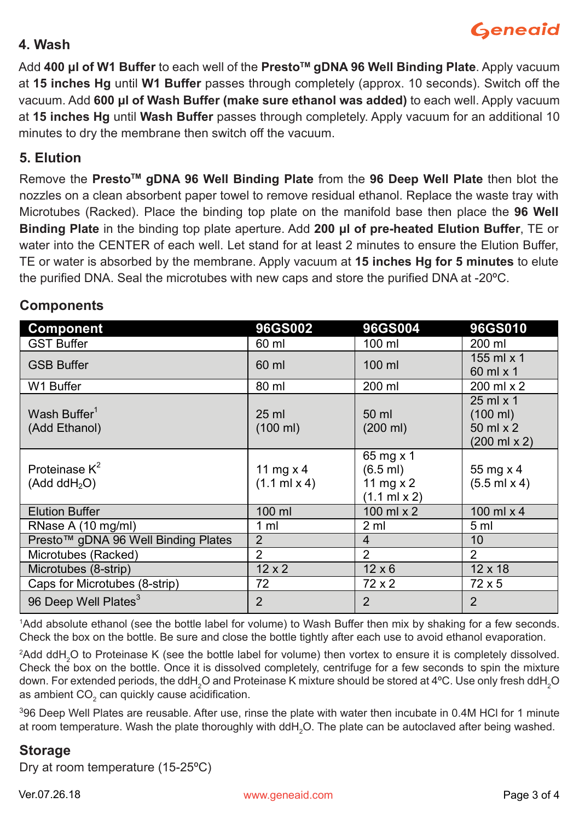# **Geneaid**

### **4. Wash**

Add **400 μl of W1 Buffer** to each well of the **PrestoTM gDNA 96 Well Binding Plate**. Apply vacuum at **15 inches Hg** until **W1 Buffer** passes through completely (approx. 10 seconds). Switch off the vacuum. Add **600 μl of Wash Buffer (make sure ethanol was added)** to each well. Apply vacuum at **15 inches Hg** until **Wash Buffer** passes through completely. Apply vacuum for an additional 10 minutes to dry the membrane then switch off the vacuum.

### **5. Elution**

Remove the **PrestoTM gDNA 96 Well Binding Plate** from the **96 Deep Well Plate** then blot the nozzles on a clean absorbent paper towel to remove residual ethanol. Replace the waste tray with Microtubes (Racked). Place the binding top plate on the manifold base then place the **96 Well Binding Plate** in the binding top plate aperture. Add **200 μl of pre-heated Elution Buffer**, TE or water into the CENTER of each well. Let stand for at least 2 minutes to ensure the Elution Buffer, TE or water is absorbed by the membrane. Apply vacuum at **15 inches Hg for 5 minutes** to elute the purified DNA. Seal the microtubes with new caps and store the purified DNA at -20ºC.

| <b>Component</b>                             | 96GS002                                    | 96GS004                                                                    | 96GS010                                                                              |
|----------------------------------------------|--------------------------------------------|----------------------------------------------------------------------------|--------------------------------------------------------------------------------------|
| <b>GST Buffer</b>                            | 60 ml                                      | 100 ml                                                                     | 200 ml                                                                               |
| <b>GSB Buffer</b>                            | 60 ml                                      | 100 ml                                                                     | 155 ml $\times$ 1<br>60 ml x 1                                                       |
| W1 Buffer                                    | 80 ml                                      | 200 ml                                                                     | 200 ml x 2                                                                           |
| Wash Buffer <sup>1</sup><br>(Add Ethanol)    | $25$ ml<br>$(100 \text{ ml})$              | 50 ml<br>$(200 \text{ ml})$                                                | $25$ ml $\times$ 1<br>$(100 \text{ ml})$<br>50 ml x 2<br>$(200 \text{ ml} \times 2)$ |
| Proteinase $K^2$<br>(Add ddH <sub>2</sub> O) | 11 mg $\times$ 4<br>$(1.1 \text{ ml} x 4)$ | 65 mg x 1<br>$(6.5$ ml)<br>11 mg $\times$ 2<br>$(1.1 \text{ ml} \times 2)$ | 55 mg x 4<br>$(5.5$ ml $x 4)$                                                        |
| <b>Elution Buffer</b>                        | $100$ ml                                   | 100 ml $\times$ 2                                                          | 100 ml $\times$ 4                                                                    |
| RNase A (10 mg/ml)                           | 1 <sub>m</sub>                             | 2 <sub>m1</sub>                                                            | 5 ml                                                                                 |
| Presto™ gDNA 96 Well Binding Plates          | $\overline{2}$                             | $\overline{4}$                                                             | 10                                                                                   |
| Microtubes (Racked)                          | 2                                          | 2                                                                          | $\mathcal{P}$                                                                        |
| Microtubes (8-strip)                         | $12 \times 2$                              | $12 \times 6$                                                              | $12 \times 18$                                                                       |
| Caps for Microtubes (8-strip)                | 72                                         | 72x2                                                                       | $72\times5$                                                                          |
| 96 Deep Well Plates <sup>3</sup>             | $\overline{2}$                             | 2                                                                          | $\overline{2}$                                                                       |

## **Components**

1 Add absolute ethanol (see the bottle label for volume) to Wash Buffer then mix by shaking for a few seconds. Check the box on the bottle. Be sure and close the bottle tightly after each use to avoid ethanol evaporation.

 $^2$ Add ddH $_{2}$ O to Proteinase K (see the bottle label for volume) then vortex to ensure it is completely dissolved. Check the box on the bottle. Once it is dissolved completely, centrifuge for a few seconds to spin the mixture down. For extended periods, the ddH $_2$ O and Proteinase K mixture should be stored at 4°C. Use only fresh ddH $_2$ O as ambient CO $_{\rm _2}$  can quickly cause acidification.

3 96 Deep Well Plates are reusable. After use, rinse the plate with water then incubate in 0.4M HCl for 1 minute at room temperature. Wash the plate thoroughly with ddH $_{_2}$ O. The plate can be autoclaved after being washed.

### **Storage**

Dry at room temperature (15-25ºC)